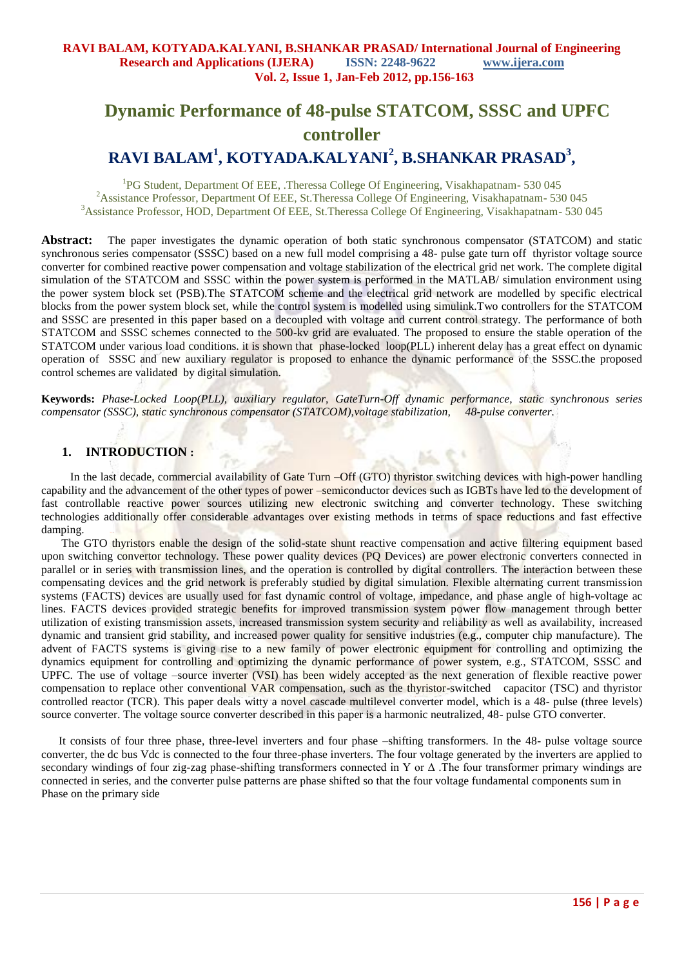# **Dynamic Performance of 48-pulse STATCOM, SSSC and UPFC controller RAVI BALAM<sup>1</sup> , KOTYADA.KALYANI<sup>2</sup> , B.SHANKAR PRASAD<sup>3</sup> ,**

<sup>1</sup>PG Student, Department Of EEE, .Theressa College Of Engineering, Visakhapatnam- 530 045 <sup>2</sup>Assistance Professor, Department Of EEE, St.Theressa College Of Engineering, Visakhapatnam- 530 045 <sup>3</sup>Assistance Professor, HOD, Department Of EEE, St. Theressa College Of Engineering, Visakhapatnam- 530 045

**Abstract:** The paper investigates the dynamic operation of both static synchronous compensator (STATCOM) and static synchronous series compensator (SSSC) based on a new full model comprising a 48- pulse gate turn off thyristor voltage source converter for combined reactive power compensation and voltage stabilization of the electrical grid net work. The complete digital simulation of the STATCOM and SSSC within the power system is performed in the MATLAB/ simulation environment using the power system block set (PSB).The STATCOM scheme and the electrical grid network are modelled by specific electrical blocks from the power system block set, while the control system is modelled using simulink.Two controllers for the STATCOM and SSSC are presented in this paper based on a decoupled with voltage and current control strategy. The performance of both STATCOM and SSSC schemes connected to the 500-kv grid are evaluated. The proposed to ensure the stable operation of the STATCOM under various load conditions. it is shown that phase-locked loop(PLL) inherent delay has a great effect on dynamic operation of SSSC and new auxiliary regulator is proposed to enhance the dynamic performance of the SSSC.the proposed control schemes are validated by digital simulation.

**Keywords:** *Phase-Locked Loop(PLL), auxiliary regulator, GateTurn-Off dynamic performance, static synchronous series compensator (SSSC), static synchronous compensator (STATCOM),voltage stabilization, 48-pulse converter.*

# **1. INTRODUCTION :**

In the last decade, commercial availability of Gate Turn –Off (GTO) thyristor switching devices with high-power handling capability and the advancement of the other types of power –semiconductor devices such as IGBTs have led to the development of fast controllable reactive power sources utilizing new electronic switching and converter technology. These switching technologies additionally offer considerable advantages over existing methods in terms of space reductions and fast effective damping.

 The GTO thyristors enable the design of the solid-state shunt reactive compensation and active filtering equipment based upon switching convertor technology. These power quality devices (PQ Devices) are power electronic converters connected in parallel or in series with transmission lines, and the operation is controlled by digital controllers. The interaction between these compensating devices and the grid network is preferably studied by digital simulation. Flexible alternating current transmission systems (FACTS) devices are usually used for fast dynamic control of voltage, impedance, and phase angle of high-voltage ac lines. FACTS devices provided strategic benefits for improved transmission system power flow management through better utilization of existing transmission assets, increased transmission system security and reliability as well as availability, increased dynamic and transient grid stability, and increased power quality for sensitive industries (e.g., computer chip manufacture). The advent of FACTS systems is giving rise to a new family of power electronic equipment for controlling and optimizing the dynamics equipment for controlling and optimizing the dynamic performance of power system, e.g., STATCOM, SSSC and UPFC. The use of voltage –source inverter (VSI) has been widely accepted as the next generation of flexible reactive power compensation to replace other conventional VAR compensation, such as the thyristor-switched capacitor (TSC) and thyristor controlled reactor (TCR). This paper deals witty a novel cascade multilevel converter model, which is a 48- pulse (three levels) source converter. The voltage source converter described in this paper is a harmonic neutralized, 48- pulse GTO converter.

 It consists of four three phase, three-level inverters and four phase –shifting transformers. In the 48- pulse voltage source converter, the dc bus Vdc is connected to the four three-phase inverters. The four voltage generated by the inverters are applied to secondary windings of four zig-zag phase-shifting transformers connected in Y or Δ .The four transformer primary windings are connected in series, and the converter pulse patterns are phase shifted so that the four voltage fundamental components sum in Phase on the primary side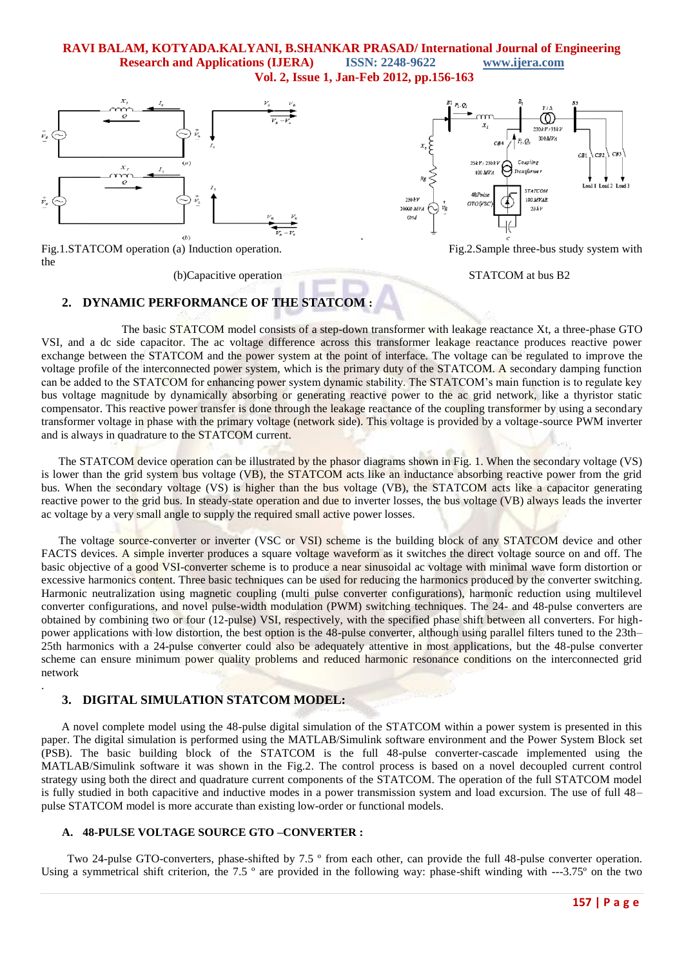

Fig.1.STATCOM operation (a) Induction operation. Fig.2.Sample three-bus study system with the

(b)Capacitive operation STATCOM at bus B2



# **2. DYNAMIC PERFORMANCE OF THE STATCOM :**

 The basic STATCOM model consists of a step-down transformer with leakage reactance Xt, a three-phase GTO VSI, and a dc side capacitor. The ac voltage difference across this transformer leakage reactance produces reactive power exchange between the STATCOM and the power system at the point of interface. The voltage can be regulated to improve the voltage profile of the interconnected power system, which is the primary duty of the STATCOM. A secondary damping function can be added to the STATCOM for enhancing power system dynamic stability. The STATCOM's main function is to regulate key bus voltage magnitude by dynamically absorbing or generating reactive power to the ac grid network, like a thyristor static compensator. This reactive power transfer is done through the leakage reactance of the coupling transformer by using a secondary transformer voltage in phase with the primary voltage (network side). This voltage is provided by a voltage-source PWM inverter and is always in quadrature to the STATCOM current.

The STATCOM device operation can be illustrated by the phasor diagrams shown in Fig. 1. When the secondary voltage (VS) is lower than the grid system bus voltage (VB), the STATCOM acts like an inductance absorbing reactive power from the grid bus. When the secondary voltage (VS) is higher than the bus voltage (VB), the STATCOM acts like a capacitor generating reactive power to the grid bus. In steady-state operation and due to inverter losses, the bus voltage (VB) always leads the inverter ac voltage by a very small angle to supply the required small active power losses.

 The voltage source-converter or inverter (VSC or VSI) scheme is the building block of any STATCOM device and other FACTS devices. A simple inverter produces a square voltage waveform as it switches the direct voltage source on and off. The basic objective of a good VSI-converter scheme is to produce a near sinusoidal ac voltage with minimal wave form distortion or excessive harmonics content. Three basic techniques can be used for reducing the harmonics produced by the converter switching. Harmonic neutralization using magnetic coupling (multi pulse converter configurations), harmonic reduction using multilevel converter configurations, and novel pulse-width modulation (PWM) switching techniques. The 24- and 48-pulse converters are obtained by combining two or four (12-pulse) VSI, respectively, with the specified phase shift between all converters. For highpower applications with low distortion, the best option is the 48-pulse converter, although using parallel filters tuned to the 23th– 25th harmonics with a 24-pulse converter could also be adequately attentive in most applications, but the 48-pulse converter scheme can ensure minimum power quality problems and reduced harmonic resonance conditions on the interconnected grid network

# **3. DIGITAL SIMULATION STATCOM MODEL:**

.

 A novel complete model using the 48-pulse digital simulation of the STATCOM within a power system is presented in this paper. The digital simulation is performed using the MATLAB/Simulink software environment and the Power System Block set (PSB). The basic building block of the STATCOM is the full 48-pulse converter-cascade implemented using the MATLAB/Simulink software it was shown in the Fig.2. The control process is based on a novel decoupled current control strategy using both the direct and quadrature current components of the STATCOM. The operation of the full STATCOM model is fully studied in both capacitive and inductive modes in a power transmission system and load excursion. The use of full 48– pulse STATCOM model is more accurate than existing low-order or functional models.

# **A. 48-PULSE VOLTAGE SOURCE GTO –CONVERTER :**

 Two 24-pulse GTO-converters, phase-shifted by 7.5 º from each other, can provide the full 48-pulse converter operation. Using a symmetrical shift criterion, the 7.5 º are provided in the following way: phase-shift winding with ---3.75º on the two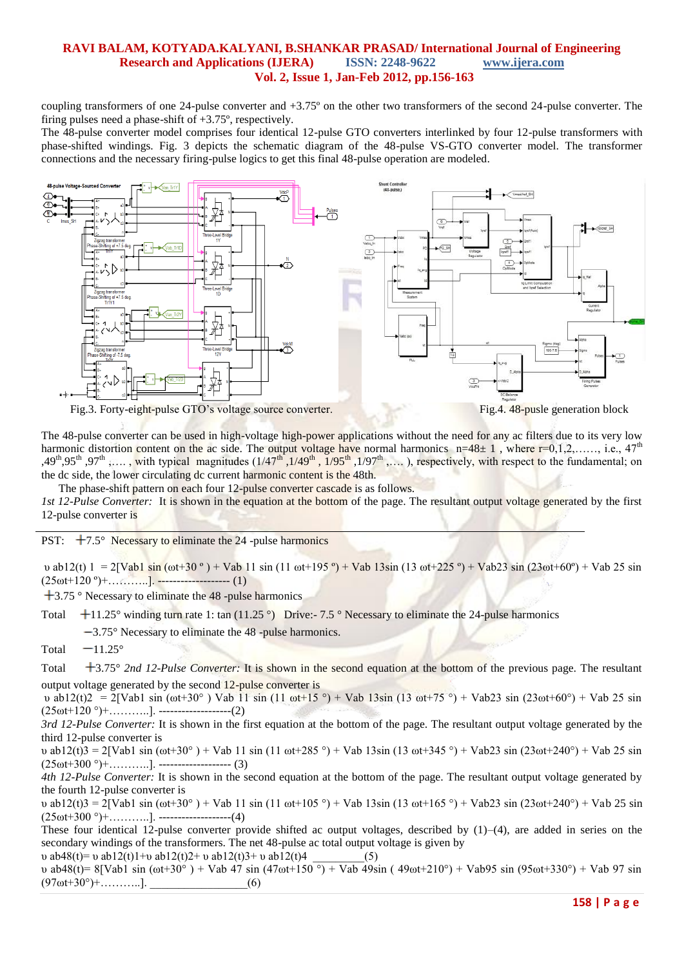coupling transformers of one 24-pulse converter and +3.75º on the other two transformers of the second 24-pulse converter. The firing pulses need a phase-shift of +3.75º, respectively.

The 48-pulse converter model comprises four identical 12-pulse GTO converters interlinked by four 12-pulse transformers with phase-shifted windings. Fig. 3 depicts the schematic diagram of the 48-pulse VS-GTO converter model. The transformer connections and the necessary firing-pulse logics to get this final 48-pulse operation are modeled.



The 48-pulse converter can be used in high-voltage high-power applications without the need for any ac filters due to its very low harmonic distortion content on the ac side. The output voltage have normal harmonics  $n=48\pm 1$ , where  $r=0,1,2,...,$  i.e.,  $47<sup>th</sup>$  $,49<sup>th</sup>,95<sup>th</sup>,97<sup>th</sup>,...$ , with typical magnitudes  $(1/47<sup>th</sup>, 1/49<sup>th</sup>, 1/95<sup>th</sup>, 1/97<sup>th</sup>,...$ ), respectively, with respect to the fundamental; on the dc side, the lower circulating dc current harmonic content is the 48th.

The phase-shift pattern on each four 12-pulse converter cascade is as follows.

*1st 12-Pulse Converter:* It is shown in the equation at the bottom of the page. The resultant output voltage generated by the first 12-pulse converter is

PST:  $\pm$ 7.5° Necessary to eliminate the 24 -pulse harmonics

υ ab12(t)  $1 = 2[\text{Vab1} \sin (\omega t + 30^\circ) + \text{Vab} 11 \sin (11 \omega t + 195^\circ) + \text{Vab} 13 \sin (13 \omega t + 225^\circ) + \text{Vab23} \sin (23 \omega t + 60^\circ) + \text{Vab} 25 \sin (23 \omega t + 60^\circ)]$  $(25\omega t+120)$ <sup>o</sup>)+…………]. ----------------------- (1)

 $+3.75$  ° Necessary to eliminate the 48-pulse harmonics

Total  $+11.25^\circ$  winding turn rate 1: tan (11.25 °) Drive:- 7.5 ° Necessary to eliminate the 24-pulse harmonics

 $-3.75^{\circ}$  Necessary to eliminate the 48 -pulse harmonics.

Total  $-11.25^\circ$ 

Total 3.75° *2nd 12-Pulse Converter:* It is shown in the second equation at the bottom of the previous page. The resultant output voltage generated by the second 12-pulse converter is

υ ab12(t)2 = 2[Vab1 sin (ωt+30° ) Vab 11 sin (11 ωt+15 °) + Vab 13sin (13 ωt+75 °) + Vab23 sin (23ωt+60°) + Vab 25 sin  $(25\omega t+120\degree)+$ …………]. -------------------(2)

*3rd 12-Pulse Converter:* It is shown in the first equation at the bottom of the page. The resultant output voltage generated by the third 12-pulse converter is

υ ab12(t)3 = 2[Vab1 sin (ωt+30° ) + Vab 11 sin (11 ωt+285 °) + Vab 13sin (13 ωt+345 °) + Vab23 sin (23ωt+240°) + Vab 25 sin (25ωt+300 °)+………..]. ------------------- (3)

*4th 12-Pulse Converter:* It is shown in the second equation at the bottom of the page. The resultant output voltage generated by the fourth 12-pulse converter is

υ ab12(t)3 = 2[Vab1 sin (ωt+30° ) + Vab 11 sin (11 ωt+105 °) + Vab 13sin (13 ωt+165 °) + Vab23 sin (23ωt+240°) + Vab 25 sin  $(25\omega t+300\degree)+$ ………..]. --------------------(4)

These four identical 12-pulse converter provide shifted ac output voltages, described by  $(1)$ – $(4)$ , are added in series on the secondary windings of the transformers. The net 48-pulse ac total output voltage is given by υ ab48(t)= υ ab12(t)1+υ ab12(t)2+ υ ab12(t)3+ υ ab12(t)4  $(5)$ 

υ ab48(t)= 8[Vab1 sin (ωt+30° ) + Vab 47 sin (47ωt+150 °) + Vab 49sin ( 49ωt+210°) + Vab95 sin (95ωt+330°) + Vab 97 sin (97ωt+30°)+………..]. \_\_\_\_\_\_\_\_\_\_\_\_\_\_\_\_\_(6)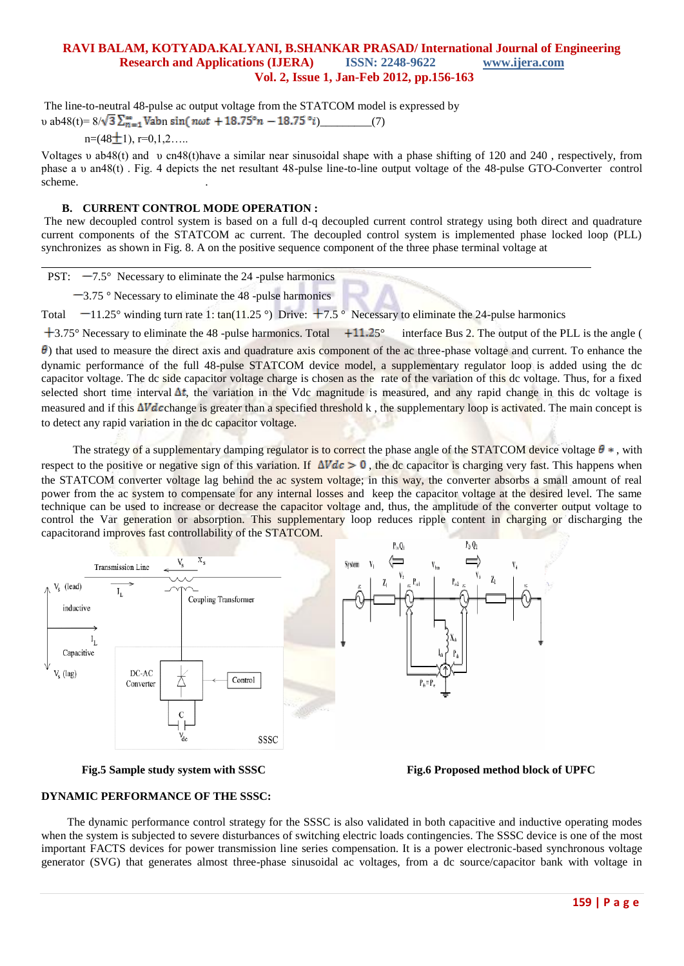The line-to-neutral 48-pulse ac output voltage from the STATCOM model is expressed by  $v \, ab48(t) = 8/\sqrt{3} \sum_{n=1}^{\infty} Vab_n \sin(n\omega t + 18.75^{\circ}n - 18.75^{\circ}i)$  (7)

 $n=(48\pm 1), r=0,1,2....$ 

Voltages υ ab48(t) and υ cn48(t)have a similar near sinusoidal shape with a phase shifting of 120 and 240 , respectively, from phase a υ an48(t) . Fig. 4 depicts the net resultant 48-pulse line-to-line output voltage of the 48-pulse GTO-Converter control scheme. .

# **B. CURRENT CONTROL MODE OPERATION :**

The new decoupled control system is based on a full d-q decoupled current control strategy using both direct and quadrature current components of the STATCOM ac current. The decoupled control system is implemented phase locked loop (PLL) synchronizes as shown in Fig. 8. A on the positive sequence component of the three phase terminal voltage at

PST:  $-7.5^{\circ}$  Necessary to eliminate the 24 -pulse harmonics

 $-3.75$  ° Necessary to eliminate the 48 -pulse harmonics

Total  $-11.25^\circ$  winding turn rate 1: tan(11.25 °) Drive:  $+7.5^\circ$  Necessary to eliminate the 24-pulse harmonics

 $+3.75^{\circ}$  Necessary to eliminate the 48 -pulse harmonics. Total  $+11.25^{\circ}$  interface Bus 2. The output of the PLL is the angle (

 $\theta$ ) that used to measure the direct axis and quadrature axis component of the ac three-phase voltage and current. To enhance the dynamic performance of the full 48-pulse STATCOM device model, a supplementary regulator loop is added using the dc capacitor voltage. The dc side capacitor voltage charge is chosen as the rate of the variation of this dc voltage. Thus, for a fixed selected short time interval  $\Delta t$ , the variation in the Vdc magnitude is measured, and any rapid change in this dc voltage is measured and if this  $\Delta V d$  change is greater than a specified threshold k, the supplementary loop is activated. The main concept is to detect any rapid variation in the dc capacitor voltage.

The strategy of a supplementary damping regulator is to correct the phase angle of the STATCOM device voltage  $\theta$   $*$ , with respect to the positive or negative sign of this variation. If  $\Delta Vdc > 0$ , the dc capacitor is charging very fast. This happens when the STATCOM converter voltage lag behind the ac system voltage; in this way, the converter absorbs a small amount of real power from the ac system to compensate for any internal losses and keep the capacitor voltage at the desired level. The same technique can be used to increase or decrease the capacitor voltage and, thus, the amplitude of the converter output voltage to control the Var generation or absorption. This supplementary loop reduces ripple content in charging or discharging the capacitorand improves fast controllability of the STATCOM.



**Fig.5 Sample study system with SSSC Fig.6 Proposed method block of UPFC** 

# **DYNAMIC PERFORMANCE OF THE SSSC:**

 The dynamic performance control strategy for the SSSC is also validated in both capacitive and inductive operating modes when the system is subjected to severe disturbances of switching electric loads contingencies. The SSSC device is one of the most important FACTS devices for power transmission line series compensation. It is a power electronic-based synchronous voltage generator (SVG) that generates almost three-phase sinusoidal ac voltages, from a dc source/capacitor bank with voltage in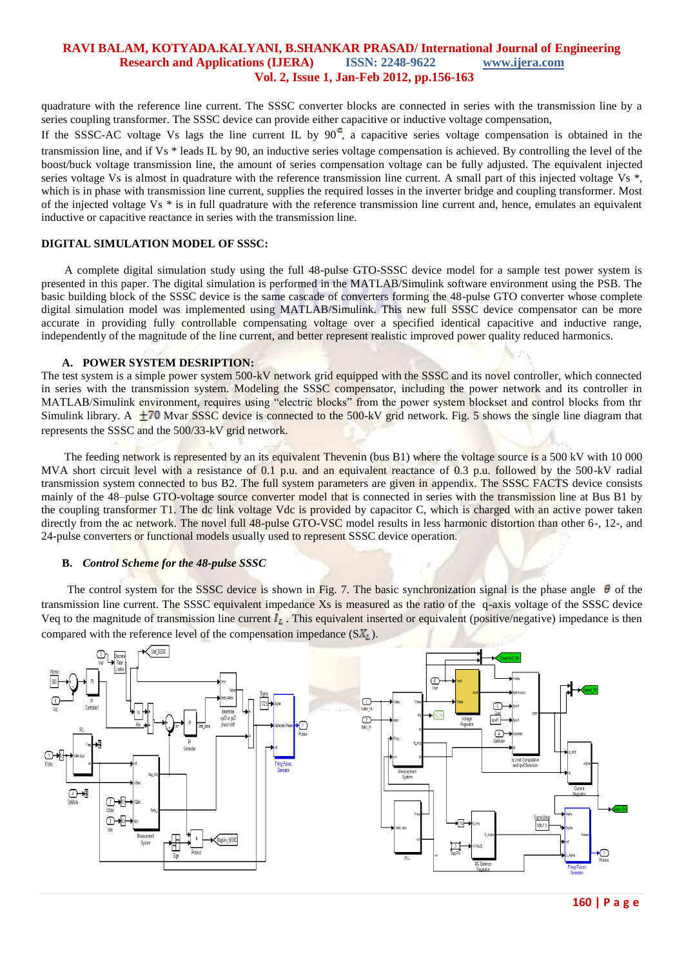quadrature with the reference line current. The SSSC converter blocks are connected in series with the transmission line by a series coupling transformer. The SSSC device can provide either capacitive or inductive voltage compensation,

If the SSSC-AC voltage Vs lags the line current IL by  $90^\circ$ , a capacitive series voltage compensation is obtained in the transmission line, and if Vs \* leads IL by 90, an inductive series voltage compensation is achieved. By controlling the level of the boost/buck voltage transmission line, the amount of series compensation voltage can be fully adjusted. The equivalent injected series voltage Vs is almost in quadrature with the reference transmission line current. A small part of this injected voltage Vs  $*,$ which is in phase with transmission line current, supplies the required losses in the inverter bridge and coupling transformer. Most of the injected voltage Vs \* is in full quadrature with the reference transmission line current and, hence, emulates an equivalent inductive or capacitive reactance in series with the transmission line.

### **DIGITAL SIMULATION MODEL OF SSSC:**

 A complete digital simulation study using the full 48-pulse GTO-SSSC device model for a sample test power system is presented in this paper. The digital simulation is performed in the MATLAB/Simulink software environment using the PSB. The basic building block of the SSSC device is the same cascade of converters forming the 48-pulse GTO converter whose complete digital simulation model was implemented using MATLAB/Simulink. This new full SSSC device compensator can be more accurate in providing fully controllable compensating voltage over a specified identical capacitive and inductive range, independently of the magnitude of the line current, and better represent realistic improved power quality reduced harmonics.

#### **A. POWER SYSTEM DESRIPTION:**

The test system is a simple power system 500-kV network grid equipped with the SSSC and its novel controller, which connected in series with the transmission system. Modeling the SSSC compensator, including the power network and its controller in MATLAB/Simulink environment, requires using "electric blocks" from the power system blockset and control blocks from thr Simulink library. A  $\pm$ 70 Mvar SSSC device is connected to the 500-kV grid network. Fig. 5 shows the single line diagram that represents the SSSC and the 500/33-kV grid network.

The feeding network is represented by an its equivalent Thevenin (bus B1) where the voltage source is a 500 kV with 10 000 MVA short circuit level with a resistance of 0.1 p.u. and an equivalent reactance of 0.3 p.u. followed by the 500-kV radial transmission system connected to bus B2. The full system parameters are given in appendix. The SSSC FACTS device consists mainly of the 48–pulse GTO-voltage source converter model that is connected in series with the transmission line at Bus B1 by the coupling transformer T1. The dc link voltage Vdc is provided by capacitor C, which is charged with an active power taken directly from the ac network. The novel full 48-pulse GTO-VSC model results in less harmonic distortion than other 6-, 12-, and 24-pulse converters or functional models usually used to represent SSSC device operation.

#### **B.** *Control Scheme for the 48-pulse SSSC*

The control system for the SSSC device is shown in Fig. 7. The basic synchronization signal is the phase angle  $\theta$  of the transmission line current. The SSSC equivalent impedance Xs is measured as the ratio of the q-axis voltage of the SSSC device Veq to the magnitude of transmission line current  $I_L$ . This equivalent inserted or equivalent (positive/negative) impedance is then compared with the reference level of the compensation impedance  $(S X<sub>t</sub>)$ .

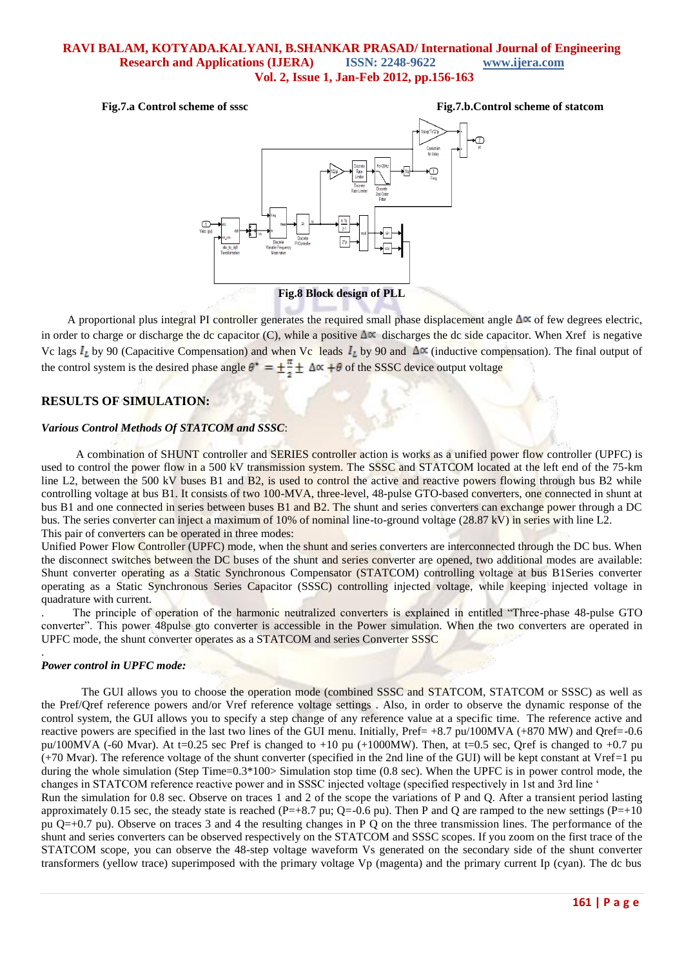



A proportional plus integral PI controller generates the required small phase displacement angle  $\Delta \propto$  of few degrees electric, in order to charge or discharge the dc capacitor (C), while a positive  $\Delta \propto$  discharges the dc side capacitor. When Xref is negative Vc lags  $I_L$  by 90 (Capacitive Compensation) and when Vc leads  $I_L$  by 90 and  $\Delta\alpha$  (inductive compensation). The final output of the control system is the desired phase angle  $\theta^* = \pm \frac{\pi}{2} \pm \Delta \alpha + \theta$  of the SSSC device output voltage

# **RESULTS OF SIMULATION:**

#### *Various Control Methods Of STATCOM and SSSC*:

 A combination of SHUNT controller and SERIES controller action is works as a unified power flow controller (UPFC) is used to control the power flow in a 500 kV transmission system. The SSSC and STATCOM located at the left end of the 75-km line L2, between the 500 kV buses B1 and B2, is used to control the active and reactive powers flowing through bus B2 while controlling voltage at bus B1. It consists of two 100-MVA, three-level, 48-pulse GTO-based converters, one connected in shunt at bus B1 and one connected in series between buses B1 and B2. The shunt and series converters can exchange power through a DC bus. The series converter can inject a maximum of 10% of nominal line-to-ground voltage (28.87 kV) in series with line L2. This pair of converters can be operated in three modes:

Unified Power Flow Controller (UPFC) mode, when the shunt and series converters are interconnected through the DC bus. When the disconnect switches between the DC buses of the shunt and series converter are opened, two additional modes are available: Shunt converter operating as a Static Synchronous Compensator (STATCOM) controlling voltage at bus B1Series converter operating as a Static Synchronous Series Capacitor (SSSC) controlling injected voltage, while keeping injected voltage in quadrature with current.

The principle of operation of the harmonic neutralized converters is explained in entitled "Three-phase 48-pulse GTO converter". This power 48pulse gto converter is accessible in the Power simulation. When the two converters are operated in UPFC mode, the shunt converter operates as a STATCOM and series Converter SSSC

# *Power control in UPFC mode:*

.

 The GUI allows you to choose the operation mode (combined SSSC and STATCOM, STATCOM or SSSC) as well as the Pref/Qref reference powers and/or Vref reference voltage settings . Also, in order to observe the dynamic response of the control system, the GUI allows you to specify a step change of any reference value at a specific time. The reference active and reactive powers are specified in the last two lines of the GUI menu. Initially, Pref= +8.7 pu/100MVA (+870 MW) and Qref=-0.6 pu/100MVA (-60 Mvar). At t=0.25 sec Pref is changed to +10 pu (+1000MW). Then, at t=0.5 sec, Qref is changed to +0.7 pu (+70 Mvar). The reference voltage of the shunt converter (specified in the 2nd line of the GUI) will be kept constant at Vref=1 pu during the whole simulation (Step Time=0.3\*100> Simulation stop time (0.8 sec). When the UPFC is in power control mode, the changes in STATCOM reference reactive power and in SSSC injected voltage (specified respectively in 1st and 3rd line ‗

Run the simulation for 0.8 sec. Observe on traces 1 and 2 of the scope the variations of P and Q. After a transient period lasting approximately 0.15 sec, the steady state is reached (P=+8.7 pu; Q=-0.6 pu). Then P and Q are ramped to the new settings (P=+10) pu Q=+0.7 pu). Observe on traces 3 and 4 the resulting changes in P Q on the three transmission lines. The performance of the shunt and series converters can be observed respectively on the STATCOM and SSSC scopes. If you zoom on the first trace of the STATCOM scope, you can observe the 48-step voltage waveform Vs generated on the secondary side of the shunt converter transformers (yellow trace) superimposed with the primary voltage Vp (magenta) and the primary current Ip (cyan). The dc bus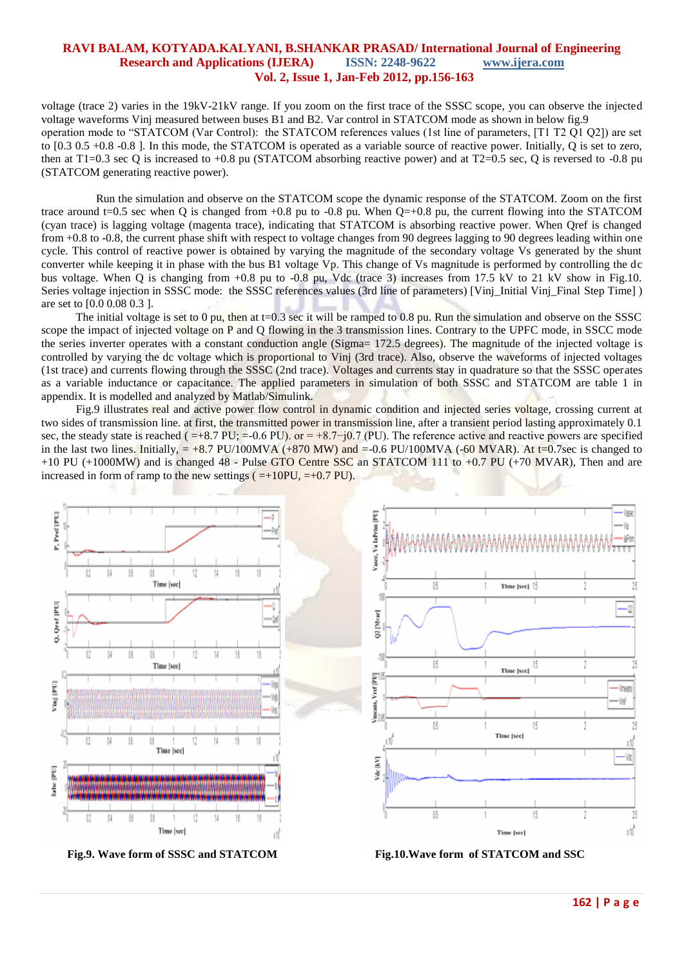voltage (trace 2) varies in the 19kV-21kV range. If you zoom on the first trace of the SSSC scope, you can observe the injected voltage waveforms Vinj measured between buses B1 and B2. Var control in STATCOM mode as shown in below fig.9 operation mode to "STATCOM (Var Control): the STATCOM references values (1st line of parameters, [T1 T2 Q1 Q2]) are set to [0.3 0.5 +0.8 -0.8 ]. In this mode, the STATCOM is operated as a variable source of reactive power. Initially, Q is set to zero, then at  $T1=0.3$  sec Q is increased to  $+0.8$  pu (STATCOM absorbing reactive power) and at  $T2=0.5$  sec, Q is reversed to  $-0.8$  pu (STATCOM generating reactive power).

 Run the simulation and observe on the STATCOM scope the dynamic response of the STATCOM. Zoom on the first trace around t=0.5 sec when Q is changed from  $+0.8$  pu to  $-0.8$  pu. When Q= $+0.8$  pu, the current flowing into the STATCOM (cyan trace) is lagging voltage (magenta trace), indicating that STATCOM is absorbing reactive power. When Qref is changed from +0.8 to -0.8, the current phase shift with respect to voltage changes from 90 degrees lagging to 90 degrees leading within one cycle. This control of reactive power is obtained by varying the magnitude of the secondary voltage Vs generated by the shunt converter while keeping it in phase with the bus B1 voltage Vp. This change of Vs magnitude is performed by controlling the dc bus voltage. When Q is changing from  $+0.8$  pu to  $-0.8$  pu, Vdc (trace 3) increases from 17.5 kV to 21 kV show in Fig.10. Series voltage injection in SSSC mode: the SSSC references values (3rd line of parameters) [Vinj\_Initial Vinj\_Final Step Time] ) are set to [0.0 0.08 0.3 ].

The initial voltage is set to 0 pu, then at  $t=0.3$  sec it will be ramped to 0.8 pu. Run the simulation and observe on the SSSC scope the impact of injected voltage on P and Q flowing in the 3 transmission lines. Contrary to the UPFC mode, in SSCC mode the series inverter operates with a constant conduction angle (Sigma= 172.5 degrees). The magnitude of the injected voltage is controlled by varying the dc voltage which is proportional to Vinj (3rd trace). Also, observe the waveforms of injected voltages (1st trace) and currents flowing through the SSSC (2nd trace). Voltages and currents stay in quadrature so that the SSSC operates as a variable inductance or capacitance. The applied parameters in simulation of both SSSC and STATCOM are table 1 in appendix. It is modelled and analyzed by Matlab/Simulink.

 Fig.9 illustrates real and active power flow control in dynamic condition and injected series voltage, crossing current at two sides of transmission line, at first, the transmitted power in transmission line, after a transient period lasting approximately 0.1 sec, the steady state is reached (  $=+8.7$  PU;  $=$ -0.6 PU). or  $=+8.7$ -j0.7 (PU). The reference active and reactive powers are specified in the last two lines. Initially,  $= +8.7$  PU/100MVA  $(+870$  MW) and  $=-0.6$  PU/100MVA  $(-60$  MVAR). At t=0.7sec is changed to  $+10$  PU ( $+1000MW$ ) and is changed 48 - Pulse GTO Centre SSC an STATCOM 111 to  $+0.7$  PU ( $+70$  MVAR), Then and are increased in form of ramp to the new settings  $(=+10PU, =+0.7 PU)$ .



 **Fig.9. Wave form of SSSC and STATCOM Fig.10.Wave form of STATCOM and SSC**